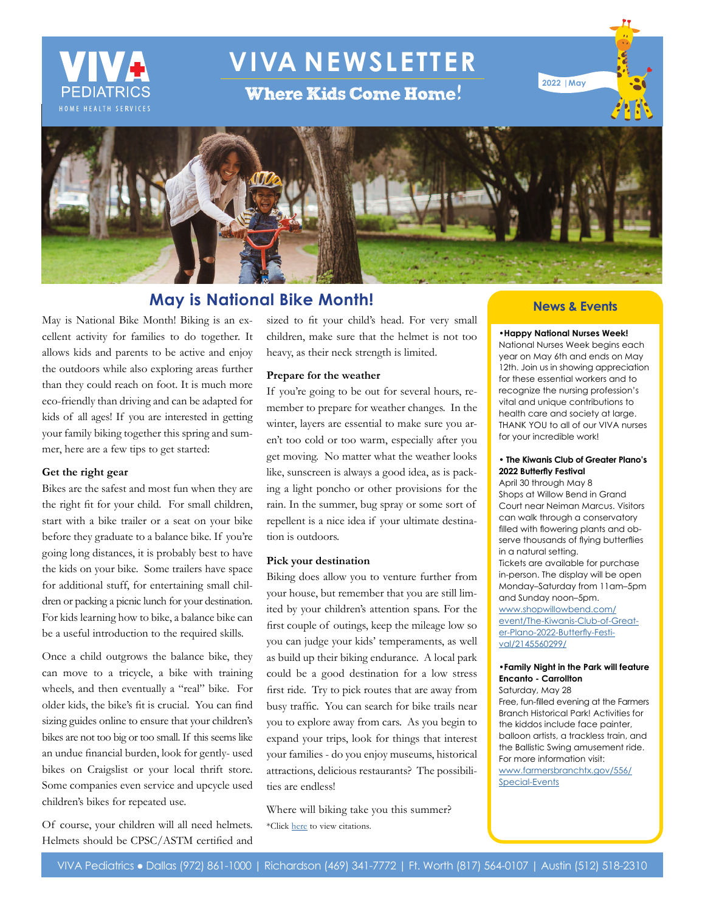

# **VIVA NEWSLETTER**

**Where Kids Come Home!** 





## **May is National Bike Month!**

May is National Bike Month! Biking is an excellent activity for families to do together. It allows kids and parents to be active and enjoy the outdoors while also exploring areas further than they could reach on foot. It is much more eco-friendly than driving and can be adapted for kids of all ages! If you are interested in getting your family biking together this spring and summer, here are a few tips to get started:

#### **Get the right gear**

Bikes are the safest and most fun when they are the right fit for your child. For small children, start with a bike trailer or a seat on your bike before they graduate to a balance bike. If you're going long distances, it is probably best to have the kids on your bike. Some trailers have space for additional stuff, for entertaining small children or packing a picnic lunch for your destination. For kids learning how to bike, a balance bike can be a useful introduction to the required skills.

Once a child outgrows the balance bike, they can move to a tricycle, a bike with training wheels, and then eventually a "real" bike. For older kids, the bike's fit is crucial. You can find sizing guides online to ensure that your children's bikes are not too big or too small. If this seems like an undue financial burden, look for gently- used bikes on Craigslist or your local thrift store. Some companies even service and upcycle used children's bikes for repeated use.

Of course, your children will all need helmets. Helmets should be CPSC/ASTM certified and sized to fit your child's head. For very small children, make sure that the helmet is not too heavy, as their neck strength is limited.

#### **Prepare for the weather**

If you're going to be out for several hours, remember to prepare for weather changes. In the winter, layers are essential to make sure you aren't too cold or too warm, especially after you get moving. No matter what the weather looks like, sunscreen is always a good idea, as is packing a light poncho or other provisions for the rain. In the summer, bug spray or some sort of repellent is a nice idea if your ultimate destination is outdoors.

#### **Pick your destination**

Biking does allow you to venture further from your house, but remember that you are still limited by your children's attention spans. For the first couple of outings, keep the mileage low so you can judge your kids' temperaments, as well as build up their biking endurance. A local park could be a good destination for a low stress first ride. Try to pick routes that are away from busy traffic. You can search for bike trails near you to explore away from cars. As you begin to expand your trips, look for things that interest your families - do you enjoy museums, historical attractions, delicious restaurants? The possibilities are endless!

Where will biking take you this summer? \*Click [here](https://www.vivapeds.com/citations-april-2022-newsletter-let%E2%80%99s-celebrate-occupational-therapy-month) to view citations.

### **News & Events**

#### **•Happy National Nurses Week!**

National Nurses Week begins each year on May 6th and ends on May 12th. Join us in showing appreciation for these essential workers and to recognize the nursing profession's vital and unique contributions to health care and society at large. THANK YOU to all of our VIVA nurses for your incredible work!

#### **• The Kiwanis Club of Greater Plano's 2022 Butterfly Festival**

April 30 through May 8 Shops at Willow Bend in Grand Court near Neiman Marcus. Visitors can walk through a conservatory filled with flowering plants and observe thousands of flying butterflies in a natural setting. Tickets are available for purchase in-person. The display will be open Monday–Saturday from 11am–5pm and Sunday noon–5pm. [www.shopwillowbend.com/](http://www.shopwillowbend.com/event/The-Kiwanis-Club-of-Greater-Plano-2022-Butterfly-Festival/2145560299/) [event/The-Kiwanis-Club-of-Great](http://www.shopwillowbend.com/event/The-Kiwanis-Club-of-Greater-Plano-2022-Butterfly-Festival/2145560299/)[er-Plano-2022-Butterfly-Festi](http://www.shopwillowbend.com/event/The-Kiwanis-Club-of-Greater-Plano-2022-Butterfly-Festival/2145560299/)[val/2145560299/](http://www.shopwillowbend.com/event/The-Kiwanis-Club-of-Greater-Plano-2022-Butterfly-Festival/2145560299/)

#### **•Family Night in the Park will feature Encanto - Carrollton**

Saturday, May 28 Free, fun-filled evening at the Farmers Branch Historical Park! Activities for the kiddos include face painter, balloon artists, a trackless train, and the Ballistic Swing amusement ride. For more information visit: [www.farmersbranchtx.gov/556/](http://www.farmersbranchtx.gov/556/Special-Events ) [Special-Events](http://www.farmersbranchtx.gov/556/Special-Events )